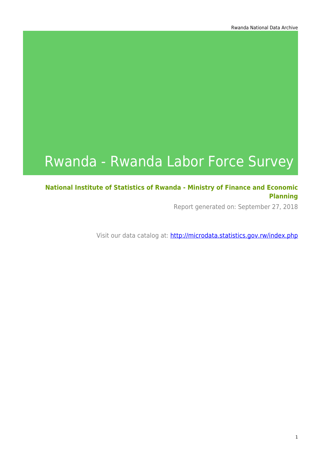# Rwanda - Rwanda Labor Force Survey

#### **National Institute of Statistics of Rwanda - Ministry of Finance and Economic Planning**

Report generated on: September 27, 2018

Visit our data catalog at: http://microdata.statistics.gov.rw/index.php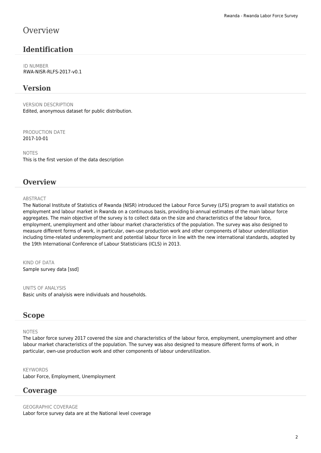### **Overview**

#### **Identification**

ID NUMBER RWA-NISR-RLFS-2017-v0.1

#### **Version**

VERSION DESCRIPTION Edited, anonymous dataset for public distribution.

PRODUCTION DATE 2017-10-01

NOTES This is the first version of the data description

#### **Overview**

#### **ABSTRACT**

The National Institute of Statistics of Rwanda (NISR) introduced the Labour Force Survey (LFS) program to avail statistics on employment and labour market in Rwanda on a continuous basis, providing bi-annual estimates of the main labour force aggregates. The main objective of the survey is to collect data on the size and characteristics of the labour force, employment, unemployment and other labour market characteristics of the population. The survey was also designed to measure different forms of work, in particular, own-use production work and other components of labour underutilization including time-related underemployment and potential labour force in line with the new international standards, adopted by the 19th International Conference of Labour Statisticians (ICLS) in 2013.

KIND OF DATA Sample survey data [ssd]

UNITS OF ANALYSIS Basic units of analyisis were individuals and households.

#### **Scope**

#### NOTES

The Labor force survey 2017 covered the size and characteristics of the labour force, employment, unemployment and other labour market characteristics of the population. The survey was also designed to measure different forms of work, in particular, own-use production work and other components of labour underutilization.

KEYWORDS Labor Force, Employment, Unemployment

#### **Coverage**

GEOGRAPHIC COVERAGE Labor force survey data are at the National level coverage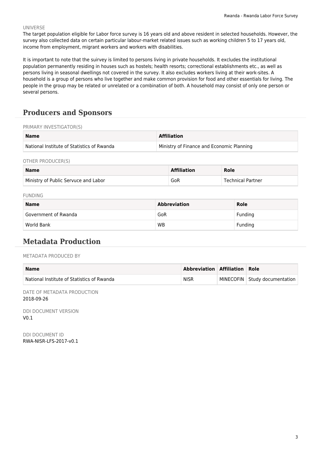#### UNIVERSE

The target population eligible for Labor force survey is 16 years old and above resident in selected households. However, the survey also collected data on certain particular labour-market related issues such as working children 5 to 17 years old, income from employment, migrant workers and workers with disabilities.

It is important to note that the suirvey is limited to persons living in private households. It excludes the institutional population permanently residing in houses such as hostels; health resorts; correctional establishments etc., as well as persons living in seasonal dwellings not covered in the survey. It also excludes workers living at their work-sites. A household is a group of persons who live together and make common provision for food and other essentials for living. The people in the group may be related or unrelated or a combination of both. A household may consist of only one person or several persons.

### **Producers and Sponsors**

#### PRIMARY INVESTIGATOR(S)

| <b>Name</b>                                | <b>Affiliation</b>                        |
|--------------------------------------------|-------------------------------------------|
| National Institute of Statistics of Rwanda | Ministry of Finance and Economic Planning |

OTHER PRODUCER(S)

| <b>Name</b>                          | <b>Affiliation</b> | Role              |
|--------------------------------------|--------------------|-------------------|
| Ministry of Public Servuce and Labor | GoR                | Technical Partner |

FUNDING

| <b>Name</b>          | <b>Abbreviation</b> | Role    |  |
|----------------------|---------------------|---------|--|
| Government of Rwanda | GoR                 | Funding |  |
| World Bank           | <b>WB</b>           | Funding |  |

#### **Metadata Production**

METADATA PRODUCED BY

| <b>Name</b>                                | Abbreviation Affiliation Role |                                 |
|--------------------------------------------|-------------------------------|---------------------------------|
| National Institute of Statistics of Rwanda | <b>NISR</b>                   | MINECOFIN   Study documentation |

DATE OF METADATA PRODUCTION 2018-09-26

DDI DOCUMENT VERSION  $V<sub>0</sub>$  1

DDI DOCUMENT ID RWA-NISR-LFS-2017-v0.1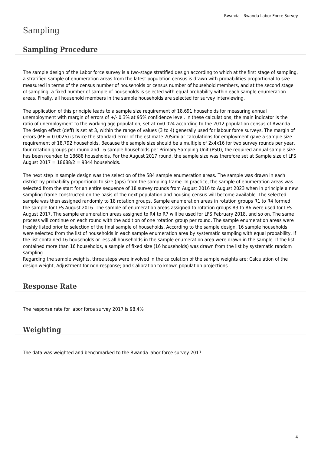### Sampling

#### **Sampling Procedure**

The sample design of the Labor force survey is a two-stage stratified design according to which at the first stage of sampling, a stratified sample of enumeration areas from the latest population census is drawn with probabilities proportional to size measured in terms of the census number of households or census number of household members, and at the second stage of sampling, a fixed number of sample of households is selected with equal probability within each sample enumeration areas. Finally, all household members in the sample households are selected for survey interviewing.

The application of this principle leads to a sample size requirement of 18,691 households for measuring annual unemployment with margin of errors of +/- 0.3% at 95% confidence level. In these calculations, the main indicator is the ratio of unemployment to the working age population, set at r=0.024 according to the 2012 population census of Rwanda. The design effect (deff) is set at 3, within the range of values (3 to 4) generally used for labour force surveys. The margin of errors (ME = 0.0026) is twice the standard error of the estimate.20Similar calculations for employment gave a sample size requirement of 18,792 households. Because the sample size should be a multiple of 2x4x16 for two survey rounds per year, four rotation groups per round and 16 sample households per Primary Sampling Unit (PSU), the required annual sample size has been rounded to 18688 households. For the August 2017 round, the sample size was therefore set at Sample size of LFS August 2017 = 18688/2 = 9344 households.

The next step in sample design was the selection of the 584 sample enumeration areas. The sample was drawn in each district by probability proportional to size (pps) from the sampling frame. In practice, the sample of enumeration areas was selected from the start for an entire sequence of 18 survey rounds from August 2016 to August 2023 when in principle a new sampling frame constructed on the basis of the next population and housing census will become available. The selected sample was then assigned randomly to 18 rotation groups. Sample enumeration areas in rotation groups R1 to R4 formed the sample for LFS August 2016. The sample of enumeration areas assigned to rotation groups R3 to R6 were used for LFS August 2017. The sample enumeration areas assigned to R4 to R7 will be used for LFS February 2018, and so on. The same process will continue on each round with the addition of one rotation group per round. The sample enumeration areas were freshly listed prior to selection of the final sample of households. According to the sample design, 16 sample households were selected from the list of households in each sample enumeration area by systematic sampling with equal probability. If the list contained 16 households or less all households in the sample enumeration area were drawn in the sample. If the list contained more than 16 households, a sample of fixed size (16 households) was drawn from the list by systematic random sampling.

Regarding the sample weights, three steps were involved in the calculation of the sample weights are: Calculation of the design weight, Adjustment for non-response; and Calibration to known population projections

#### **Response Rate**

The response rate for labor force survey 2017 is 98.4%

#### **Weighting**

The data was weighted and benchmarked to the Rwanda labor force survey 2017.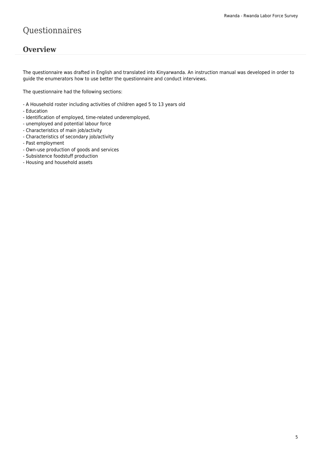### Questionnaires

#### **Overview**

The questionnaire was drafted in English and translated into Kinyarwanda. An instruction manual was developed in order to guide the enumerators how to use better the questionnaire and conduct interviews.

The questionnaire had the following sections:

- A Household roster including activities of children aged 5 to 13 years old
- Education
- Identification of employed, time-related underemployed,
- unemployed and potential labour force
- Characteristics of main job/activity
- Characteristics of secondary job/activity
- Past employment
- Own-use production of goods and services
- Subsistence foodstuff production
- Housing and household assets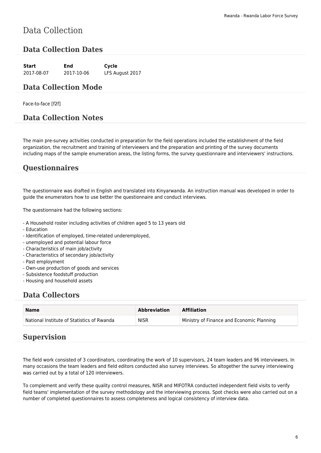## Data Collection

#### **Data Collection Dates**

| Start      | End        | Cycle           |
|------------|------------|-----------------|
| 2017-08-07 | 2017-10-06 | LFS August 2017 |

#### **Data Collection Mode**

Face-to-face [f2f]

#### **Data Collection Notes**

The main pre-survey activities conducted in preparation for the field operations included the establishment of the field organization, the recruitment and training of interviewers and the preparation and printing of the survey documents including maps of the sample enumeration areas, the listing forms, the survey questionnaire and interviewers' instructions.

#### **Questionnaires**

The questionnaire was drafted in English and translated into Kinyarwanda. An instruction manual was developed in order to guide the enumerators how to use better the questionnaire and conduct interviews.

The questionnaire had the following sections:

- A Household roster including activities of children aged 5 to 13 years old
- Education
- Identification of employed, time-related underemployed,
- unemployed and potential labour force
- Characteristics of main job/activity
- Characteristics of secondary job/activity
- Past employment
- Own-use production of goods and services
- Subsistence foodstuff production
- Housing and household assets

#### **Data Collectors**

| <b>Name</b>                                | Abbreviation | <b>Affiliation</b>                        |
|--------------------------------------------|--------------|-------------------------------------------|
| National Institute of Statistics of Rwanda | <b>NISR</b>  | Ministry of Finance and Economic Planning |

#### **Supervision**

The field work consisted of 3 coordinators, coordinating the work of 10 supervisors, 24 team leaders and 96 interviewers. In many occasions the team leaders and field editors conducted also survey interviews. So altogether the survey interviewing was carried out by a total of 120 interviewers.

To complement and verify these quality control measures, NISR and MIFOTRA conducted independent field visits to verify field teams' implementation of the survey methodology and the interviewing process. Spot checks were also carried out on a number of completed questionnaires to assess completeness and logical consistency of interview data.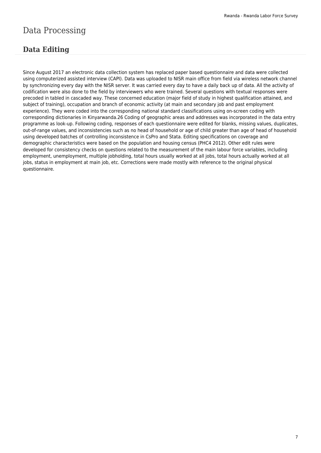## Data Processing

### **Data Editing**

Since August 2017 an electronic data collection system has replaced paper based questionnaire and data were collected using computerized assisted interview (CAPI). Data was uploaded to NISR main office from field via wireless network channel by synchronizing every day with the NISR server. It was carried every day to have a daily back up of data. All the activity of codification were also done to the field by interviewers who were trained. Several questions with textual responses were precoded in tabled in cascaded way. These concerned education (major field of study in highest qualification attained, and subject of training), occupation and branch of economic activity (at main and secondary job and past employment experience). They were coded into the corresponding national standard classifications using on-screen coding with corresponding dictionaries in Kinyarwanda.26 Coding of geographic areas and addresses was incorporated in the data entry programme as look-up. Following coding, responses of each questionnaire were edited for blanks, missing values, duplicates, out-of-range values, and inconsistencies such as no head of household or age of child greater than age of head of household using developed batches of controlling inconsistence in CsPro and Stata. Editing specifications on coverage and demographic characteristics were based on the population and housing census (PHC4 2012). Other edit rules were developed for consistency checks on questions related to the measurement of the main labour force variables, including employment, unemployment, multiple jobholding, total hours usually worked at all jobs, total hours actually worked at all jobs, status in employment at main job, etc. Corrections were made mostly with reference to the original physical questionnaire.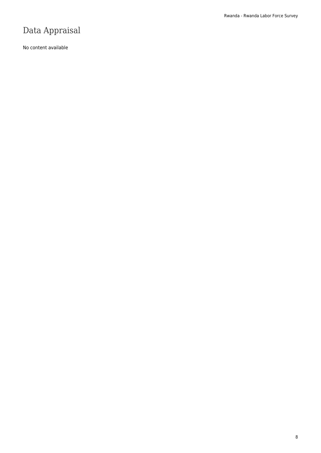# Data Appraisal

No content available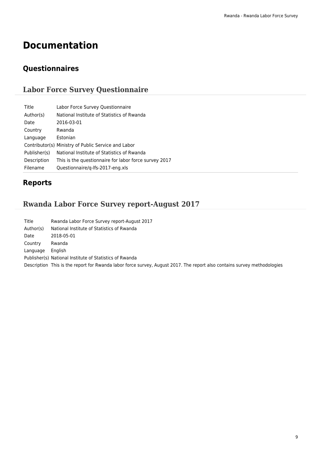# **Documentation**

### **Questionnaires**

### **Labor Force Survey Questionnaire**

| Title<br>Labor Force Survey Questionnaire                            |  |
|----------------------------------------------------------------------|--|
| National Institute of Statistics of Rwanda<br>Author(s)              |  |
| 2016-03-01<br>Date                                                   |  |
| Rwanda<br>Country                                                    |  |
| Estonian<br>Language                                                 |  |
| Contributor(s) Ministry of Public Service and Labor                  |  |
| National Institute of Statistics of Rwanda<br>Publisher(s)           |  |
| Description<br>This is the questionnaire for labor force survey 2017 |  |
| Filename<br>Questionnaire/g-lfs-2017-eng.xls                         |  |

### **Reports**

### **Rwanda Labor Force Survey report-August 2017**

| Title     | Rwanda Labor Force Survey report-August 2017                                                                             |
|-----------|--------------------------------------------------------------------------------------------------------------------------|
| Author(s) | National Institute of Statistics of Rwanda                                                                               |
| Date      | 2018-05-01                                                                                                               |
| Country   | Rwanda                                                                                                                   |
| Language  | <b>English</b>                                                                                                           |
|           | Publisher(s) National Institute of Statistics of Rwanda                                                                  |
|           | Description This is the report for Rwanda labor force survey, August 2017. The report also contains survey methodologies |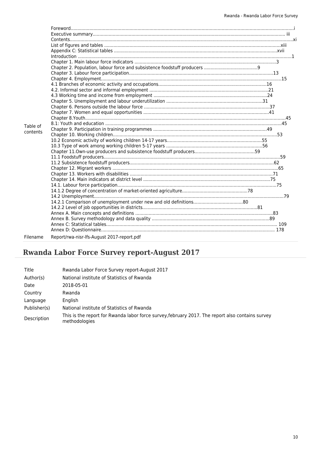|          | $\label{eq:1} \mbox{Introduction} \,\, \ldots \,\, \ldots \,\, \ldots \,\, \ldots \,\, \ldots \,\, \ldots \,\, \ldots \,\, \ldots \,\, \ldots \,\, \ldots \,\, \ldots \,\, \ldots \,\, \ldots \,\, \ldots \,\, \ldots \,\, \ldots \,\, \ldots \,\, \ldots \,\, \ldots \,\, \ldots \,\, \ldots \,\, \ldots \,\, \ldots \,\, \ldots \,\, \ldots \,\, \ldots \,\, \ldots \,\, \ldots \,\, \ldots \,\, \ldots \,\, \ldots \,\, \ldots \,\, \ldots \,\, \ldots \,\,$ |  |
|----------|-----------------------------------------------------------------------------------------------------------------------------------------------------------------------------------------------------------------------------------------------------------------------------------------------------------------------------------------------------------------------------------------------------------------------------------------------------------------|--|
|          |                                                                                                                                                                                                                                                                                                                                                                                                                                                                 |  |
|          |                                                                                                                                                                                                                                                                                                                                                                                                                                                                 |  |
|          |                                                                                                                                                                                                                                                                                                                                                                                                                                                                 |  |
|          |                                                                                                                                                                                                                                                                                                                                                                                                                                                                 |  |
|          |                                                                                                                                                                                                                                                                                                                                                                                                                                                                 |  |
|          |                                                                                                                                                                                                                                                                                                                                                                                                                                                                 |  |
|          |                                                                                                                                                                                                                                                                                                                                                                                                                                                                 |  |
|          |                                                                                                                                                                                                                                                                                                                                                                                                                                                                 |  |
|          |                                                                                                                                                                                                                                                                                                                                                                                                                                                                 |  |
|          |                                                                                                                                                                                                                                                                                                                                                                                                                                                                 |  |
|          |                                                                                                                                                                                                                                                                                                                                                                                                                                                                 |  |
|          |                                                                                                                                                                                                                                                                                                                                                                                                                                                                 |  |
| Table of |                                                                                                                                                                                                                                                                                                                                                                                                                                                                 |  |
| contents |                                                                                                                                                                                                                                                                                                                                                                                                                                                                 |  |
|          |                                                                                                                                                                                                                                                                                                                                                                                                                                                                 |  |
|          |                                                                                                                                                                                                                                                                                                                                                                                                                                                                 |  |
|          |                                                                                                                                                                                                                                                                                                                                                                                                                                                                 |  |
|          |                                                                                                                                                                                                                                                                                                                                                                                                                                                                 |  |
|          |                                                                                                                                                                                                                                                                                                                                                                                                                                                                 |  |
|          |                                                                                                                                                                                                                                                                                                                                                                                                                                                                 |  |
|          |                                                                                                                                                                                                                                                                                                                                                                                                                                                                 |  |
|          |                                                                                                                                                                                                                                                                                                                                                                                                                                                                 |  |
|          |                                                                                                                                                                                                                                                                                                                                                                                                                                                                 |  |
|          |                                                                                                                                                                                                                                                                                                                                                                                                                                                                 |  |
|          |                                                                                                                                                                                                                                                                                                                                                                                                                                                                 |  |
|          |                                                                                                                                                                                                                                                                                                                                                                                                                                                                 |  |
|          |                                                                                                                                                                                                                                                                                                                                                                                                                                                                 |  |
|          |                                                                                                                                                                                                                                                                                                                                                                                                                                                                 |  |
|          |                                                                                                                                                                                                                                                                                                                                                                                                                                                                 |  |
|          |                                                                                                                                                                                                                                                                                                                                                                                                                                                                 |  |
|          |                                                                                                                                                                                                                                                                                                                                                                                                                                                                 |  |
|          |                                                                                                                                                                                                                                                                                                                                                                                                                                                                 |  |
| Filename | Report/rwa-nisr-lfs-August 2017-report.pdf                                                                                                                                                                                                                                                                                                                                                                                                                      |  |

# **Rwanda Labor Force Survey report-August 2017**

| Title        | Rwanda Labor Force Survey report-August 2017                                                                      |
|--------------|-------------------------------------------------------------------------------------------------------------------|
| Author(s)    | National institute of Statistics of Rwanda                                                                        |
| Date         | 2018-05-01                                                                                                        |
| Country      | Rwanda                                                                                                            |
| Language     | English                                                                                                           |
| Publisher(s) | National institute of Statistics of Rwanda                                                                        |
| Description  | This is the report for Rwanda labor force survey, february 2017. The report also contains survey<br>methodologies |